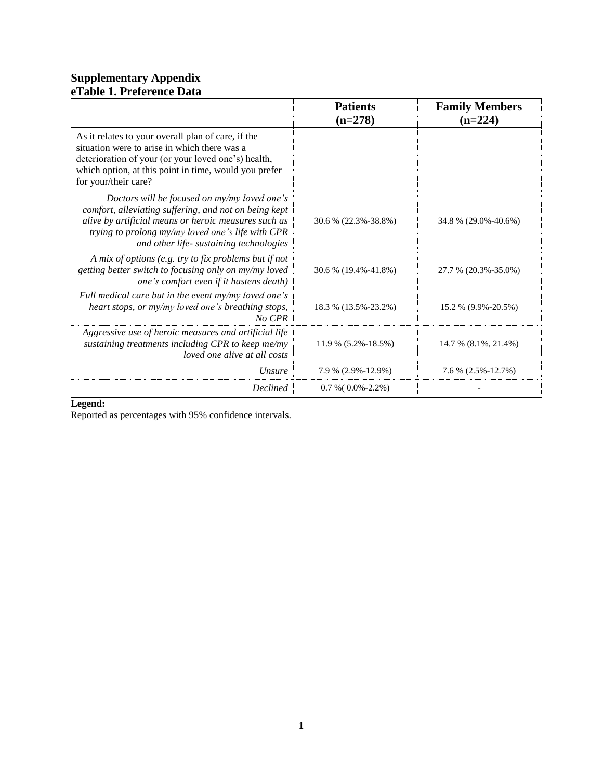# **Supplementary Appendix eTable 1. Preference Data**

|                                                                                                                                                                                                                                                               | <b>Patients</b><br>$(n=278)$ | <b>Family Members</b><br>$(n=224)$ |
|---------------------------------------------------------------------------------------------------------------------------------------------------------------------------------------------------------------------------------------------------------------|------------------------------|------------------------------------|
| As it relates to your overall plan of care, if the<br>situation were to arise in which there was a<br>deterioration of your (or your loved one's) health,<br>which option, at this point in time, would you prefer<br>for your/their care?                    |                              |                                    |
| Doctors will be focused on my/my loved one's<br>comfort, alleviating suffering, and not on being kept<br>alive by artificial means or heroic measures such as<br>trying to prolong my/my loved one's life with CPR<br>and other life- sustaining technologies | 30.6 % (22.3%-38.8%)         | 34.8 % (29.0%-40.6%)               |
| A mix of options (e.g. try to fix problems but if not<br>getting better switch to focusing only on my/my loved<br>one's comfort even if it hastens death)                                                                                                     | 30.6 % (19.4%-41.8%)         | 27.7 % (20.3%-35.0%)               |
| Full medical care but in the event my/my loved one's<br>heart stops, or my/my loved one's breathing stops,<br>No CPR                                                                                                                                          | 18.3 % (13.5%-23.2%)         | 15.2 % (9.9%-20.5%)                |
| Aggressive use of heroic measures and artificial life<br>sustaining treatments including CPR to keep me/my<br>loved one alive at all costs                                                                                                                    | $11.9\%$ (5.2%-18.5%)        | 14.7 % (8.1%, 21.4%)               |
| Unsure                                                                                                                                                                                                                                                        | 7.9 % (2.9%-12.9%)           | $7.6\%$ (2.5%-12.7%)               |
| <b>Declined</b>                                                                                                                                                                                                                                               | $0.7 %(0.0% -2.2%)$          |                                    |

### **Legend:**

Reported as percentages with 95% confidence intervals.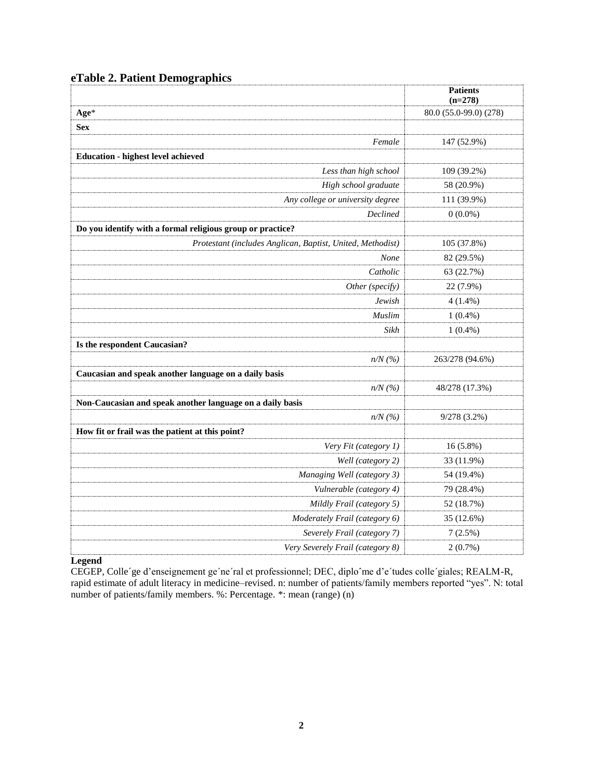| eTable 2. Patient Demographics |  |
|--------------------------------|--|
|--------------------------------|--|

|                                                            | <b>Patients</b><br>$(n=278)$ |
|------------------------------------------------------------|------------------------------|
| Age*                                                       | 80.0 (55.0-99.0) (278)       |
| <b>Sex</b>                                                 |                              |
| Female                                                     | 147 (52.9%)                  |
| <b>Education - highest level achieved</b>                  |                              |
| Less than high school                                      | 109 (39.2%)                  |
| High school graduate                                       | 58 (20.9%)                   |
| Any college or university degree                           | 111 (39.9%)                  |
| Declined                                                   | $0(0.0\%)$                   |
| Do you identify with a formal religious group or practice? |                              |
| Protestant (includes Anglican, Baptist, United, Methodist) | 105 (37.8%)                  |
| None                                                       | 82 (29.5%)                   |
| Catholic                                                   | 63 (22.7%)                   |
| Other (specify)                                            | 22 (7.9%)                    |
| Jewish                                                     | $4(1.4\%)$                   |
| <b>Muslim</b>                                              | $1(0.4\%)$                   |
| Sikh                                                       | $1(0.4\%)$                   |
| Is the respondent Caucasian?                               |                              |
| $n/N$ (%)                                                  | 263/278 (94.6%)              |
| Caucasian and speak another language on a daily basis      |                              |
| $n/N$ (%)                                                  | 48/278 (17.3%)               |
| Non-Caucasian and speak another language on a daily basis  |                              |
| $n/N$ (%)                                                  | 9/278(3.2%)                  |
| How fit or frail was the patient at this point?            |                              |
| Very Fit (category 1)                                      | 16 (5.8%)                    |
| Well (category 2)                                          | 33 (11.9%)                   |
| Managing Well (category 3)                                 | 54 (19.4%)                   |
| Vulnerable (category 4)                                    | 79 (28.4%)                   |
| Mildly Frail (category 5)                                  | 52 (18.7%)                   |
| Moderately Frail (category 6)                              | 35 (12.6%)                   |
| Severely Frail (category 7)                                | 7(2.5%)                      |
| Very Severely Frail (category 8)                           | 2(0.7%)                      |

**Legend** 

CEGEP, Colle´ge d'enseignement ge´ne´ral et professionnel; DEC, diploˆme d'e´tudes colle´giales; REALM-R, rapid estimate of adult literacy in medicine–revised. n: number of patients/family members reported "yes". N: total number of patients/family members. %: Percentage. \*: mean (range) (n)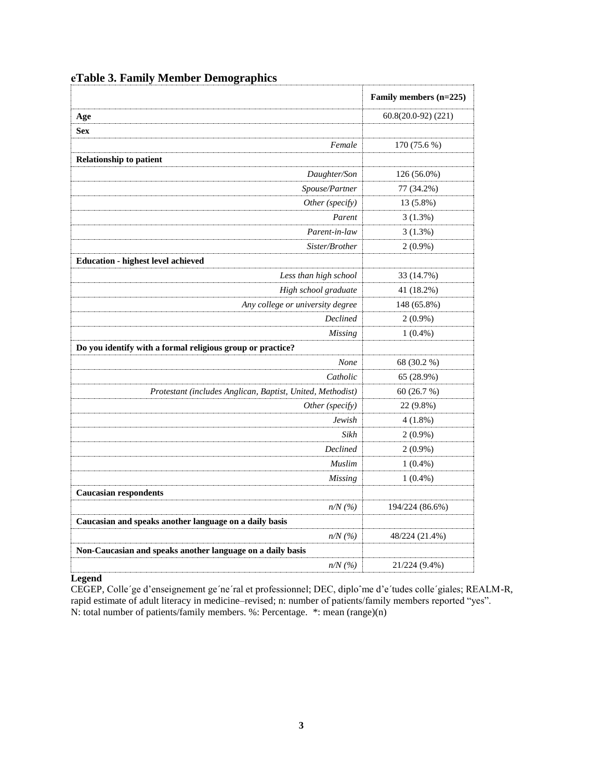|                                                            | Family members (n=225) |
|------------------------------------------------------------|------------------------|
| Age                                                        | $60.8(20.0-92)$ (221)  |
| Sex                                                        |                        |
| Female                                                     | 170 (75.6 %)           |
| <b>Relationship to patient</b>                             |                        |
| Daughter/Son                                               | 126 (56.0%)            |
| Spouse/Partner                                             | 77 (34.2%)             |
| Other (specify)                                            | 13 (5.8%)              |
| Parent                                                     | 3(1.3%)                |
| Parent-in-law                                              | $3(1.3\%)$             |
| Sister/Brother                                             | $2(0.9\%)$             |
| <b>Education - highest level achieved</b>                  |                        |
| Less than high school                                      | 33 (14.7%)             |
| High school graduate                                       | 41 (18.2%)             |
| Any college or university degree                           | 148 (65.8%)            |
| Declined                                                   | $2(0.9\%)$             |
| Missing                                                    | $1(0.4\%)$             |
| Do you identify with a formal religious group or practice? |                        |
| None                                                       | 68 (30.2 %)            |
| Catholic                                                   | 65 (28.9%)             |
| Protestant (includes Anglican, Baptist, United, Methodist) | 60 (26.7 %)            |
| Other (specify)                                            | 22 (9.8%)              |
| Jewish                                                     | 4(1.8%)                |
| Sikh                                                       | $2(0.9\%)$             |
| Declined                                                   | $2(0.9\%)$             |
| Muslim                                                     | $1(0.4\%)$             |
| <b>Missing</b>                                             | $1(0.4\%)$             |
| <b>Caucasian respondents</b>                               |                        |
| $n/N$ (%)                                                  | 194/224 (86.6%)        |
| Caucasian and speaks another language on a daily basis     |                        |
| $n/N$ (%)                                                  | 48/224 (21.4%)         |
| Non-Caucasian and speaks another language on a daily basis |                        |
| $n/N$ (%)                                                  | 21/224 (9.4%)          |

# **eTable 3. Family Member Demographics**

### **Legend**

CEGEP, Colle´ge d'enseignement ge´ne´ral et professionnel; DEC, diploˆme d'e´tudes colle´giales; REALM-R, rapid estimate of adult literacy in medicine–revised; n: number of patients/family members reported "yes". N: total number of patients/family members. %: Percentage. \*: mean (range)(n)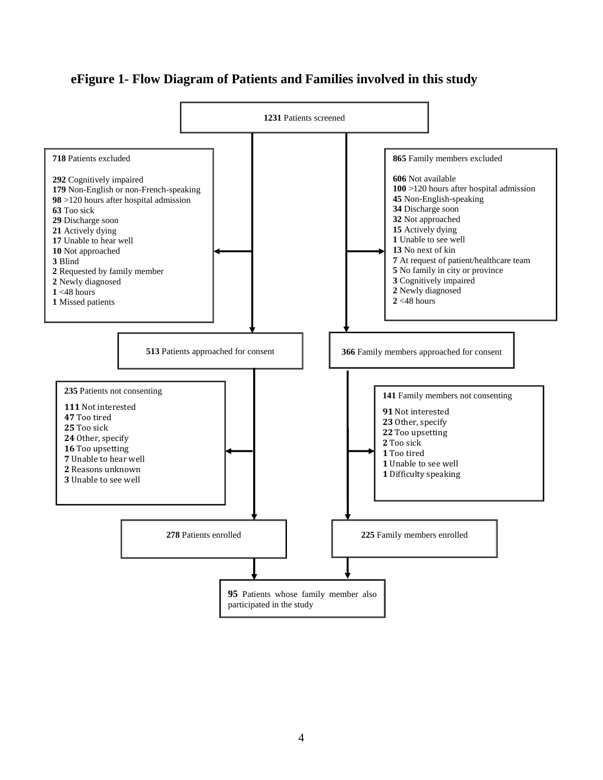# **eFigure 1- Flow Diagram of Patients and Families involved in this study**

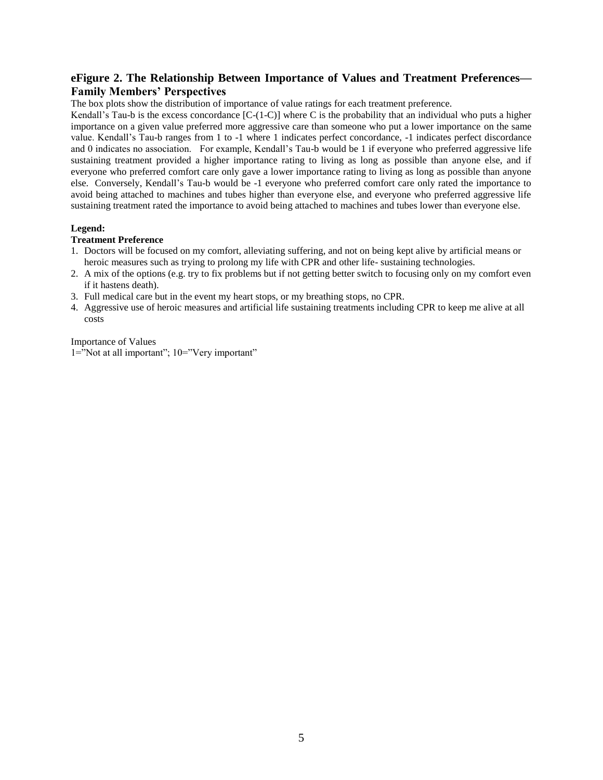## **eFigure 2. The Relationship Between Importance of Values and Treatment Preferences— Family Members' Perspectives**

The box plots show the distribution of importance of value ratings for each treatment preference.

Kendall's Tau-b is the excess concordance  $[C-(1-C)]$  where C is the probability that an individual who puts a higher importance on a given value preferred more aggressive care than someone who put a lower importance on the same value. Kendall's Tau-b ranges from 1 to -1 where 1 indicates perfect concordance, -1 indicates perfect discordance and 0 indicates no association. For example, Kendall's Tau-b would be 1 if everyone who preferred aggressive life sustaining treatment provided a higher importance rating to living as long as possible than anyone else, and if everyone who preferred comfort care only gave a lower importance rating to living as long as possible than anyone else. Conversely, Kendall's Tau-b would be -1 everyone who preferred comfort care only rated the importance to avoid being attached to machines and tubes higher than everyone else, and everyone who preferred aggressive life sustaining treatment rated the importance to avoid being attached to machines and tubes lower than everyone else.

#### **Legend:**

#### **Treatment Preference**

- 1. Doctors will be focused on my comfort, alleviating suffering, and not on being kept alive by artificial means or heroic measures such as trying to prolong my life with CPR and other life- sustaining technologies.
- 2. A mix of the options (e.g. try to fix problems but if not getting better switch to focusing only on my comfort even if it hastens death).
- 3. Full medical care but in the event my heart stops, or my breathing stops, no CPR.
- 4. Aggressive use of heroic measures and artificial life sustaining treatments including CPR to keep me alive at all costs

Importance of Values

1="Not at all important"; 10="Very important"